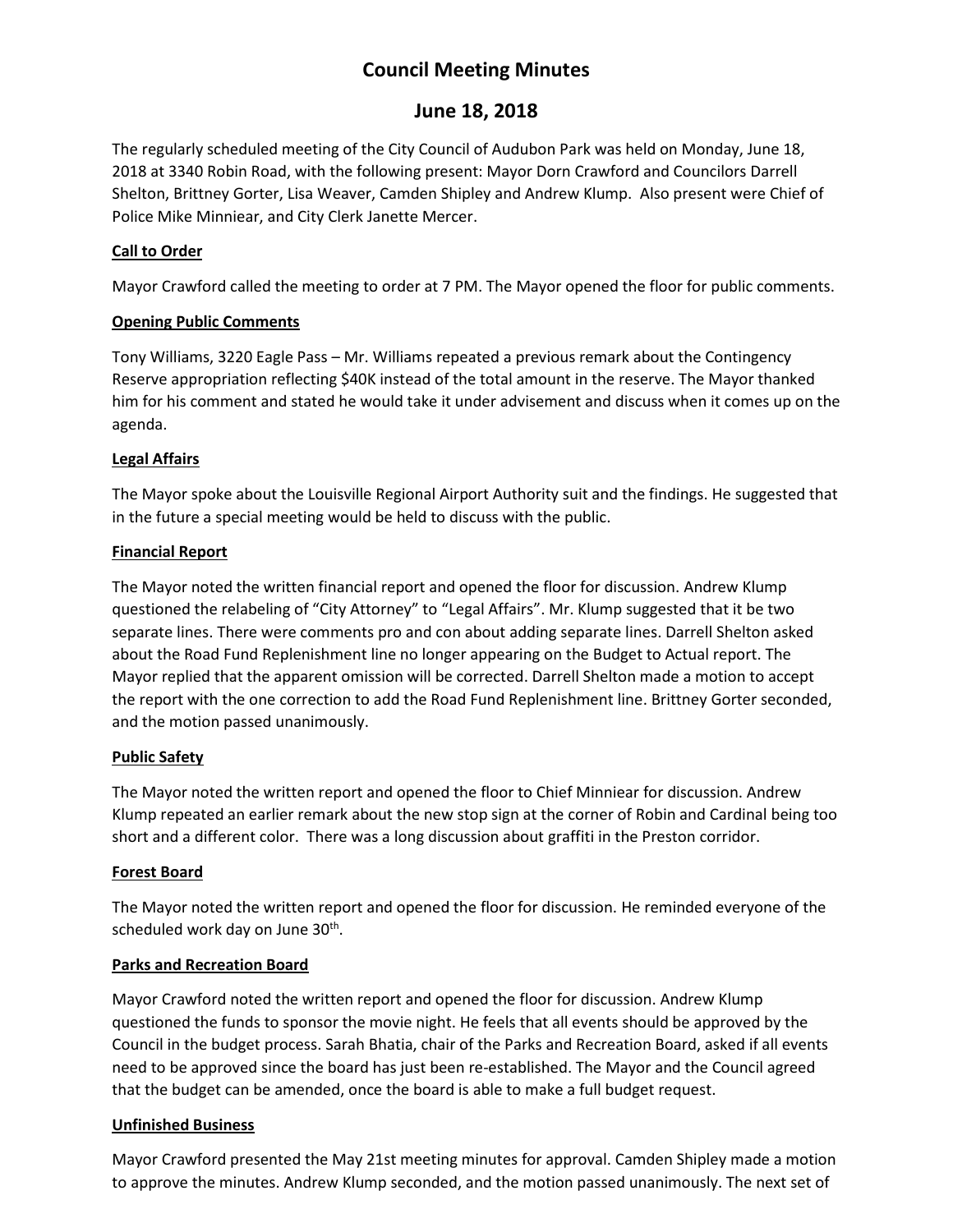# **Council Meeting Minutes**

## **June 18, 2018**

The regularly scheduled meeting of the City Council of Audubon Park was held on Monday, June 18, 2018 at 3340 Robin Road, with the following present: Mayor Dorn Crawford and Councilors Darrell Shelton, Brittney Gorter, Lisa Weaver, Camden Shipley and Andrew Klump. Also present were Chief of Police Mike Minniear, and City Clerk Janette Mercer.

## **Call to Order**

Mayor Crawford called the meeting to order at 7 PM. The Mayor opened the floor for public comments.

#### **Opening Public Comments**

Tony Williams, 3220 Eagle Pass – Mr. Williams repeated a previous remark about the Contingency Reserve appropriation reflecting \$40K instead of the total amount in the reserve. The Mayor thanked him for his comment and stated he would take it under advisement and discuss when it comes up on the agenda.

## **Legal Affairs**

The Mayor spoke about the Louisville Regional Airport Authority suit and the findings. He suggested that in the future a special meeting would be held to discuss with the public.

#### **Financial Report**

The Mayor noted the written financial report and opened the floor for discussion. Andrew Klump questioned the relabeling of "City Attorney" to "Legal Affairs". Mr. Klump suggested that it be two separate lines. There were comments pro and con about adding separate lines. Darrell Shelton asked about the Road Fund Replenishment line no longer appearing on the Budget to Actual report. The Mayor replied that the apparent omission will be corrected. Darrell Shelton made a motion to accept the report with the one correction to add the Road Fund Replenishment line. Brittney Gorter seconded, and the motion passed unanimously.

#### **Public Safety**

The Mayor noted the written report and opened the floor to Chief Minniear for discussion. Andrew Klump repeated an earlier remark about the new stop sign at the corner of Robin and Cardinal being too short and a different color. There was a long discussion about graffiti in the Preston corridor.

#### **Forest Board**

The Mayor noted the written report and opened the floor for discussion. He reminded everyone of the scheduled work day on June 30<sup>th</sup>.

#### **Parks and Recreation Board**

Mayor Crawford noted the written report and opened the floor for discussion. Andrew Klump questioned the funds to sponsor the movie night. He feels that all events should be approved by the Council in the budget process. Sarah Bhatia, chair of the Parks and Recreation Board, asked if all events need to be approved since the board has just been re-established. The Mayor and the Council agreed that the budget can be amended, once the board is able to make a full budget request.

#### **Unfinished Business**

Mayor Crawford presented the May 21st meeting minutes for approval. Camden Shipley made a motion to approve the minutes. Andrew Klump seconded, and the motion passed unanimously. The next set of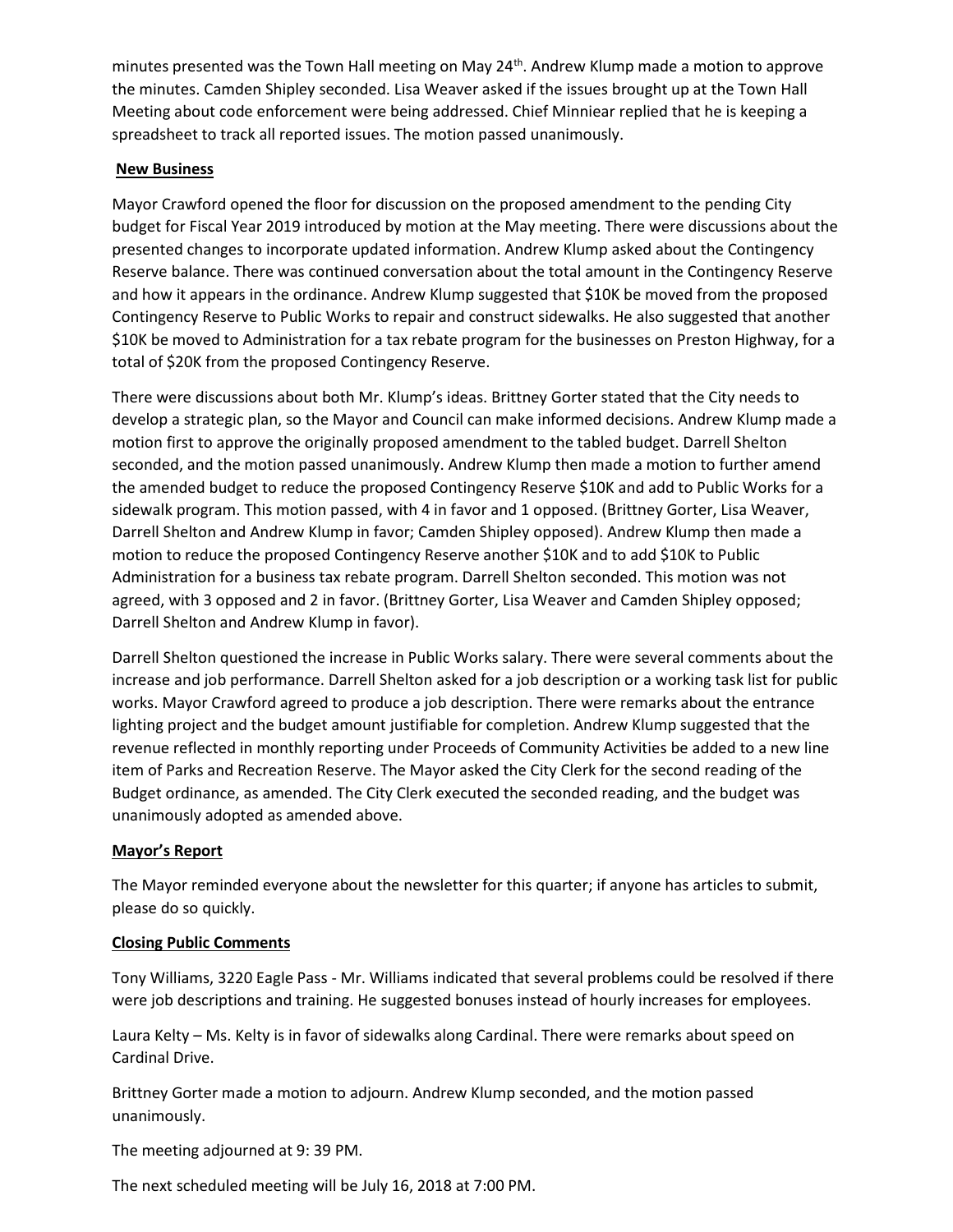minutes presented was the Town Hall meeting on May  $24<sup>th</sup>$ . Andrew Klump made a motion to approve the minutes. Camden Shipley seconded. Lisa Weaver asked if the issues brought up at the Town Hall Meeting about code enforcement were being addressed. Chief Minniear replied that he is keeping a spreadsheet to track all reported issues. The motion passed unanimously.

#### **New Business**

Mayor Crawford opened the floor for discussion on the proposed amendment to the pending City budget for Fiscal Year 2019 introduced by motion at the May meeting. There were discussions about the presented changes to incorporate updated information. Andrew Klump asked about the Contingency Reserve balance. There was continued conversation about the total amount in the Contingency Reserve and how it appears in the ordinance. Andrew Klump suggested that \$10K be moved from the proposed Contingency Reserve to Public Works to repair and construct sidewalks. He also suggested that another \$10K be moved to Administration for a tax rebate program for the businesses on Preston Highway, for a total of \$20K from the proposed Contingency Reserve.

There were discussions about both Mr. Klump's ideas. Brittney Gorter stated that the City needs to develop a strategic plan, so the Mayor and Council can make informed decisions. Andrew Klump made a motion first to approve the originally proposed amendment to the tabled budget. Darrell Shelton seconded, and the motion passed unanimously. Andrew Klump then made a motion to further amend the amended budget to reduce the proposed Contingency Reserve \$10K and add to Public Works for a sidewalk program. This motion passed, with 4 in favor and 1 opposed. (Brittney Gorter, Lisa Weaver, Darrell Shelton and Andrew Klump in favor; Camden Shipley opposed). Andrew Klump then made a motion to reduce the proposed Contingency Reserve another \$10K and to add \$10K to Public Administration for a business tax rebate program. Darrell Shelton seconded. This motion was not agreed, with 3 opposed and 2 in favor. (Brittney Gorter, Lisa Weaver and Camden Shipley opposed; Darrell Shelton and Andrew Klump in favor).

Darrell Shelton questioned the increase in Public Works salary. There were several comments about the increase and job performance. Darrell Shelton asked for a job description or a working task list for public works. Mayor Crawford agreed to produce a job description. There were remarks about the entrance lighting project and the budget amount justifiable for completion. Andrew Klump suggested that the revenue reflected in monthly reporting under Proceeds of Community Activities be added to a new line item of Parks and Recreation Reserve. The Mayor asked the City Clerk for the second reading of the Budget ordinance, as amended. The City Clerk executed the seconded reading, and the budget was unanimously adopted as amended above.

#### **Mayor's Report**

The Mayor reminded everyone about the newsletter for this quarter; if anyone has articles to submit, please do so quickly.

#### **Closing Public Comments**

Tony Williams, 3220 Eagle Pass - Mr. Williams indicated that several problems could be resolved if there were job descriptions and training. He suggested bonuses instead of hourly increases for employees.

Laura Kelty – Ms. Kelty is in favor of sidewalks along Cardinal. There were remarks about speed on Cardinal Drive.

Brittney Gorter made a motion to adjourn. Andrew Klump seconded, and the motion passed unanimously.

The meeting adjourned at 9: 39 PM.

The next scheduled meeting will be July 16, 2018 at 7:00 PM.